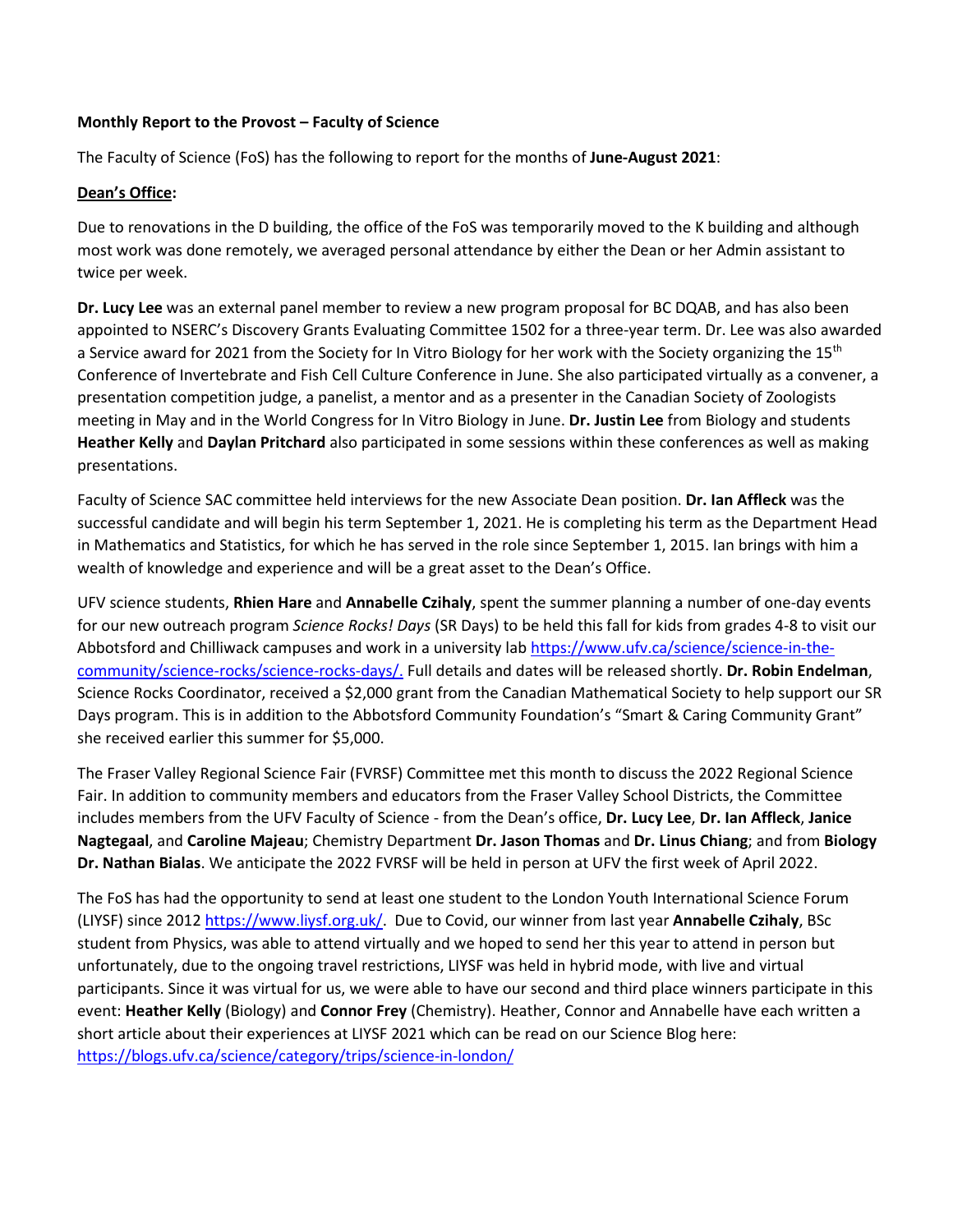### **Monthly Report to the Provost – Faculty of Science**

The Faculty of Science (FoS) has the following to report for the months of **June-August 2021**:

### **Dean's Office:**

Due to renovations in the D building, the office of the FoS was temporarily moved to the K building and although most work was done remotely, we averaged personal attendance by either the Dean or her Admin assistant to twice per week.

**Dr. Lucy Lee** was an external panel member to review a new program proposal for BC DQAB, and has also been appointed to NSERC's Discovery Grants Evaluating Committee 1502 for a three-year term. Dr. Lee was also awarded a Service award for 2021 from the Society for In Vitro Biology for her work with the Society organizing the 15<sup>th</sup> Conference of Invertebrate and Fish Cell Culture Conference in June. She also participated virtually as a convener, a presentation competition judge, a panelist, a mentor and as a presenter in the Canadian Society of Zoologists meeting in May and in the World Congress for In Vitro Biology in June. **Dr. Justin Lee** from Biology and students **Heather Kelly** and **Daylan Pritchard** also participated in some sessions within these conferences as well as making presentations.

Faculty of Science SAC committee held interviews for the new Associate Dean position. **Dr. Ian Affleck** was the successful candidate and will begin his term September 1, 2021. He is completing his term as the Department Head in Mathematics and Statistics, for which he has served in the role since September 1, 2015. Ian brings with him a wealth of knowledge and experience and will be a great asset to the Dean's Office.

UFV science students, **Rhien Hare** and **Annabelle Czihaly**, spent the summer planning a number of one-day events for our new outreach program *Science Rocks! Days* (SR Days) to be held this fall for kids from grades 4-8 to visit our Abbotsford and Chilliwack campuses and work in a university lab [https://www.ufv.ca/science/science-in-the](https://www.ufv.ca/science/science-in-the-community/science-rocks/science-rocks-days/)[community/science-rocks/science-rocks-days/.](https://www.ufv.ca/science/science-in-the-community/science-rocks/science-rocks-days/) Full details and dates will be released shortly. **Dr. Robin Endelman**, Science Rocks Coordinator, received a \$2,000 grant from the Canadian Mathematical Society to help support our SR Days program. This is in addition to the Abbotsford Community Foundation's "Smart & Caring Community Grant" she received earlier this summer for \$5,000.

The Fraser Valley Regional Science Fair (FVRSF) Committee met this month to discuss the 2022 Regional Science Fair. In addition to community members and educators from the Fraser Valley School Districts, the Committee includes members from the UFV Faculty of Science - from the Dean's office, **Dr. Lucy Lee**, **Dr. Ian Affleck**, **Janice Nagtegaal**, and **Caroline Majeau**; Chemistry Department **Dr. Jason Thomas** and **Dr. Linus Chiang**; and from **Biology Dr. Nathan Bialas**. We anticipate the 2022 FVRSF will be held in person at UFV the first week of April 2022.

The FoS has had the opportunity to send at least one student to the London Youth International Science Forum (LIYSF) since 2012 [https://www.liysf.org.uk/.](https://www.liysf.org.uk/) Due to Covid, our winner from last year **Annabelle Czihaly**, BSc student from Physics, was able to attend virtually and we hoped to send her this year to attend in person but unfortunately, due to the ongoing travel restrictions, LIYSF was held in hybrid mode, with live and virtual participants. Since it was virtual for us, we were able to have our second and third place winners participate in this event: **Heather Kelly** (Biology) and **Connor Frey** (Chemistry). Heather, Connor and Annabelle have each written a short article about their experiences at LIYSF 2021 which can be read on our Science Blog here: <https://blogs.ufv.ca/science/category/trips/science-in-london/>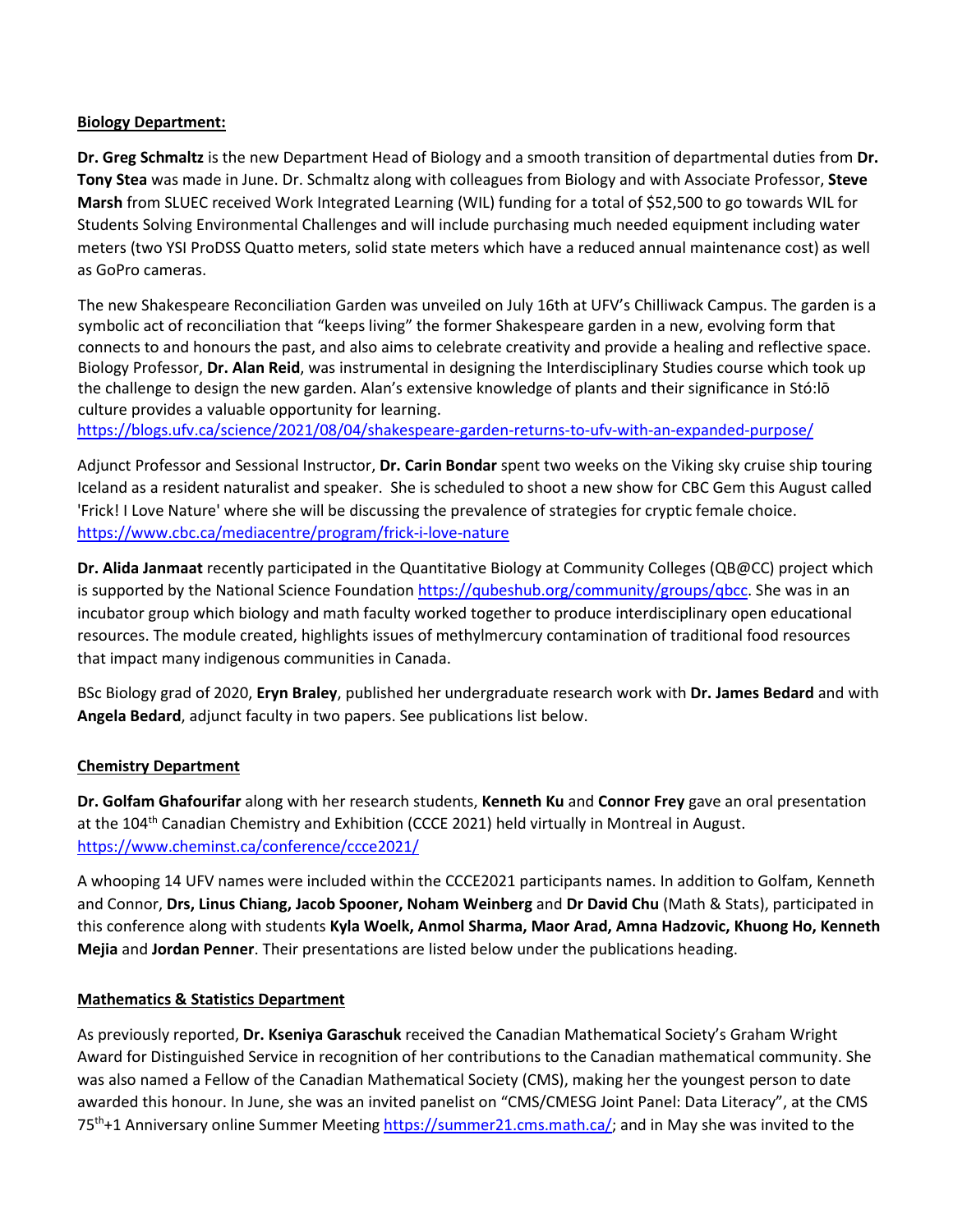#### **Biology Department:**

**Dr. Greg Schmaltz** is the new Department Head of Biology and a smooth transition of departmental duties from **Dr. Tony Stea** was made in June. Dr. Schmaltz along with colleagues from Biology and with Associate Professor, **Steve Marsh** from SLUEC received Work Integrated Learning (WIL) funding for a total of \$52,500 to go towards WIL for Students Solving Environmental Challenges and will include purchasing much needed equipment including water meters (two YSI ProDSS Quatto meters, solid state meters which have a reduced annual maintenance cost) as well as GoPro cameras.

The new Shakespeare Reconciliation Garden was unveiled on July 16th at UFV's Chilliwack Campus. The garden is a symbolic act of reconciliation that "keeps living" the former Shakespeare garden in a new, evolving form that connects to and honours the past, and also aims to celebrate creativity and provide a healing and reflective space. Biology Professor, **Dr. Alan Reid**, was instrumental in designing the Interdisciplinary Studies course which took up the challenge to design the new garden. Alan's extensive knowledge of plants and their significance in Stó:lō culture provides a valuable opportunity for learning.

<https://blogs.ufv.ca/science/2021/08/04/shakespeare-garden-returns-to-ufv-with-an-expanded-purpose/>

Adjunct Professor and Sessional Instructor, **Dr. Carin Bondar** spent two weeks on the Viking sky cruise ship touring Iceland as a resident naturalist and speaker. She is scheduled to shoot a new show for CBC Gem this August called 'Frick! I Love Nature' where she will be discussing the prevalence of strategies for cryptic female choice. <https://www.cbc.ca/mediacentre/program/frick-i-love-nature>

**Dr. Alida Janmaat** recently participated in the Quantitative Biology at Community Colleges (QB@CC) project which is supported by the National Science Foundatio[n https://qubeshub.org/community/groups/qbcc.](https://qubeshub.org/community/groups/qbcc) She was in an incubator group which biology and math faculty worked together to produce interdisciplinary open educational resources. The module created, highlights issues of methylmercury contamination of traditional food resources that impact many indigenous communities in Canada.

BSc Biology grad of 2020, **Eryn Braley**, published her undergraduate research work with **Dr. James Bedard** and with **Angela Bedard**, adjunct faculty in two papers. See publications list below.

#### **Chemistry Department**

**Dr. Golfam Ghafourifar** along with her research students, **Kenneth Ku** and **Connor Frey** gave an oral presentation at the 104<sup>th</sup> Canadian Chemistry and Exhibition (CCCE 2021) held virtually in Montreal in August. <https://www.cheminst.ca/conference/ccce2021/>

A whooping 14 UFV names were included within the CCCE2021 participants names. In addition to Golfam, Kenneth and Connor, **Drs, Linus Chiang, Jacob Spooner, Noham Weinberg** and **Dr David Chu** (Math & Stats), participated in this conference along with students **Kyla Woelk, Anmol Sharma, Maor Arad, Amna Hadzovic, Khuong Ho, Kenneth Mejia** and **Jordan Penner**. Their presentations are listed below under the publications heading.

#### **Mathematics & Statistics Department**

As previously reported, **Dr. Kseniya Garaschuk** received the Canadian Mathematical Society's Graham Wright Award for Distinguished Service in recognition of her contributions to the Canadian mathematical community. She was also named a Fellow of the Canadian Mathematical Society (CMS), making her the youngest person to date awarded this honour. In June, she was an invited panelist on "CMS/CMESG Joint Panel: Data Literacy", at the CMS 75<sup>th</sup>+1 Anniversary online Summer Meetin[g https://summer21.cms.math.ca/;](https://summer21.cms.math.ca/) and in May she was invited to the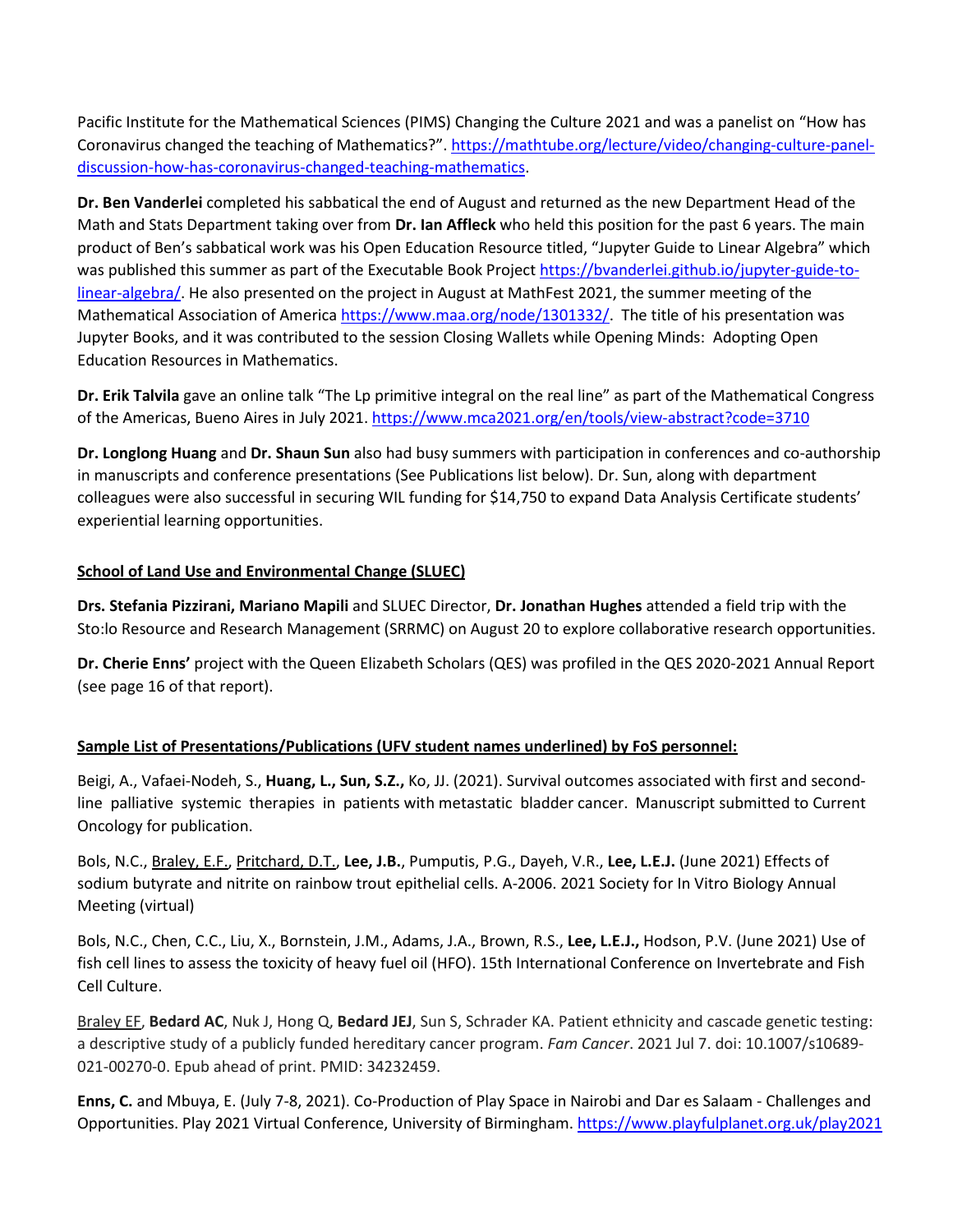Pacific Institute for the Mathematical Sciences (PIMS) Changing the Culture 2021 and was a panelist on "How has Coronavirus changed the teaching of Mathematics?". [https://mathtube.org/lecture/video/changing-culture-panel](https://mathtube.org/lecture/video/changing-culture-panel-discussion-how-has-coronavirus-changed-teaching-mathematics)[discussion-how-has-coronavirus-changed-teaching-mathematics.](https://mathtube.org/lecture/video/changing-culture-panel-discussion-how-has-coronavirus-changed-teaching-mathematics)

**Dr. Ben Vanderlei** completed his sabbatical the end of August and returned as the new Department Head of the Math and Stats Department taking over from **Dr. Ian Affleck** who held this position for the past 6 years. The main product of Ben's sabbatical work was his Open Education Resource titled, "Jupyter Guide to Linear Algebra" which was published this summer as part of the Executable Book Project [https://bvanderlei.github.io/jupyter-guide-to](https://can01.safelinks.protection.outlook.com/?url=https%3A%2F%2Fbvanderlei.github.io%2Fjupyter-guide-to-linear-algebra%2F&data=04%7C01%7CCaroline.Majeau%40ufv.ca%7C688830b467c64e1e1c5008d960e27141%7Ca3d10b1dc22648f9a6db976df918187e%7C1%7C0%7C637647347935769528%7CUnknown%7CTWFpbGZsb3d8eyJWIjoiMC4wLjAwMDAiLCJQIjoiV2luMzIiLCJBTiI6Ik1haWwiLCJXVCI6Mn0%3D%7C1000&sdata=57EHZlqXEuuevJJCE%2FPBVYzYgnFrGaXk%2B8dTFmU6kLw%3D&reserved=0)[linear-algebra/.](https://can01.safelinks.protection.outlook.com/?url=https%3A%2F%2Fbvanderlei.github.io%2Fjupyter-guide-to-linear-algebra%2F&data=04%7C01%7CCaroline.Majeau%40ufv.ca%7C688830b467c64e1e1c5008d960e27141%7Ca3d10b1dc22648f9a6db976df918187e%7C1%7C0%7C637647347935769528%7CUnknown%7CTWFpbGZsb3d8eyJWIjoiMC4wLjAwMDAiLCJQIjoiV2luMzIiLCJBTiI6Ik1haWwiLCJXVCI6Mn0%3D%7C1000&sdata=57EHZlqXEuuevJJCE%2FPBVYzYgnFrGaXk%2B8dTFmU6kLw%3D&reserved=0) He also presented on the project in August at MathFest 2021, the summer meeting of the Mathematical Association of America [https://www.maa.org/node/1301332/.](https://www.maa.org/node/1301332/) The title of his presentation was Jupyter Books, and it was contributed to the session Closing Wallets while Opening Minds: Adopting Open Education Resources in Mathematics.

**Dr. Erik Talvila** gave an online talk "The Lp primitive integral on the real line" as part of the Mathematical Congress of the Americas, Bueno Aires in July 2021.<https://www.mca2021.org/en/tools/view-abstract?code=3710>

**Dr. Longlong Huang** and **Dr. Shaun Sun** also had busy summers with participation in conferences and co-authorship in manuscripts and conference presentations (See Publications list below). Dr. Sun, along with department colleagues were also successful in securing WIL funding for \$14,750 to expand Data Analysis Certificate students' experiential learning opportunities.

# **School of Land Use and Environmental Change (SLUEC)**

**Drs. Stefania Pizzirani, Mariano Mapili** and SLUEC Director, **Dr. Jonathan Hughes** attended a field trip with the Sto:lo Resource and Research Management (SRRMC) on August 20 to explore collaborative research opportunities.

**Dr. Cherie Enns'** project with the Queen Elizabeth Scholars (QES) was profiled in the QES 2020-2021 Annual Report (see page 16 of that report).

# **Sample List of Presentations/Publications (UFV student names underlined) by FoS personnel:**

Beigi, A., Vafaei-Nodeh, S., **Huang, L., Sun, S.Z.,** Ko, JJ. (2021). Survival outcomes associated with first and secondline palliative systemic therapies in patients with metastatic bladder cancer. Manuscript submitted to Current Oncology for publication.

Bols, N.C., Braley, E.F., Pritchard, D.T., **Lee, J.B.**, Pumputis, P.G., Dayeh, V.R., **Lee, L.E.J.** (June 2021) Effects of sodium butyrate and nitrite on rainbow trout epithelial cells. A-2006. 2021 Society for In Vitro Biology Annual Meeting (virtual)

Bols, N.C., Chen, C.C., Liu, X., Bornstein, J.M., Adams, J.A., Brown, R.S., **Lee, L.E.J.,** Hodson, P.V. (June 2021) Use of fish cell lines to assess the toxicity of heavy fuel oil (HFO). 15th International Conference on Invertebrate and Fish Cell Culture.

Braley EF, **Bedard AC**, Nuk J, Hong Q, **Bedard JEJ**, Sun S, Schrader KA. Patient ethnicity and cascade genetic testing: a descriptive study of a publicly funded hereditary cancer program. *Fam Cancer*. 2021 Jul 7. doi: 10.1007/s10689- 021-00270-0. Epub ahead of print. PMID: 34232459.

**Enns, C.** and Mbuya, E. (July 7-8, 2021). Co-Production of Play Space in Nairobi and Dar es Salaam - Challenges and Opportunities. Play 2021 Virtual Conference, University of Birmingham.<https://www.playfulplanet.org.uk/play2021>